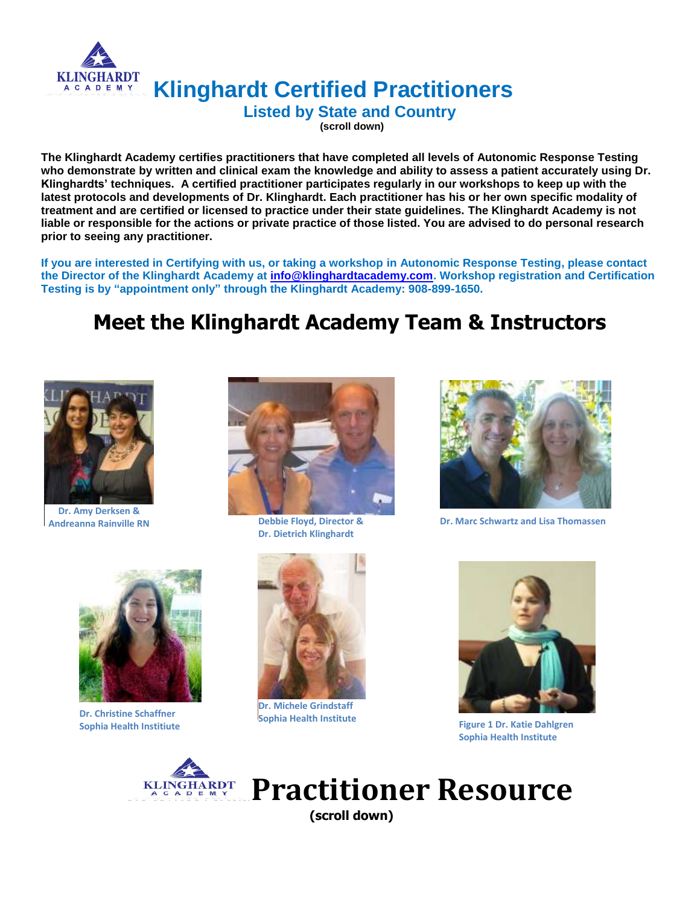

**Klinghardt Certified Practitioners**

**Listed by State and Country**

**(scroll down)**

**The Klinghardt Academy certifies practitioners that have completed all levels of Autonomic Response Testing who demonstrate by written and clinical exam the knowledge and ability to assess a patient accurately using Dr. Klinghardts' techniques. A certified practitioner participates regularly in our workshops to keep up with the latest protocols and developments of Dr. Klinghardt. Each practitioner has his or her own specific modality of treatment and are certified or licensed to practice under their state guidelines. The Klinghardt Academy is not liable or responsible for the actions or private practice of those listed. You are advised to do personal research prior to seeing any practitioner.** 

**If you are interested in Certifying with us, or taking a workshop in Autonomic Response Testing, please contact the Director of the Klinghardt Academy at [info@klinghardtacademy.com.](mailto:info@klinghardtacademy.com) Workshop registration and Certification Testing is by "appointment only" through the Klinghardt Academy: 908-899-1650.**

# **Meet the Klinghardt Academy Team & Instructors**



**Dr. Amy Derksen & Andreanna Rainville RN**



**Dr. Dietrich Klinghardt**



**Debbie Floyd, Director & Dr. Marc Schwartz and Lisa Thomassen** 



**Dr. Christine Schaffner Sophia Health Institiute**



**Dr. Michele Grindstaff Sophia Health Institute Figure 1 Dr. Katie Dahlgren** 



**Sophia Health Institute**



**Practitioner Resource (scroll down)**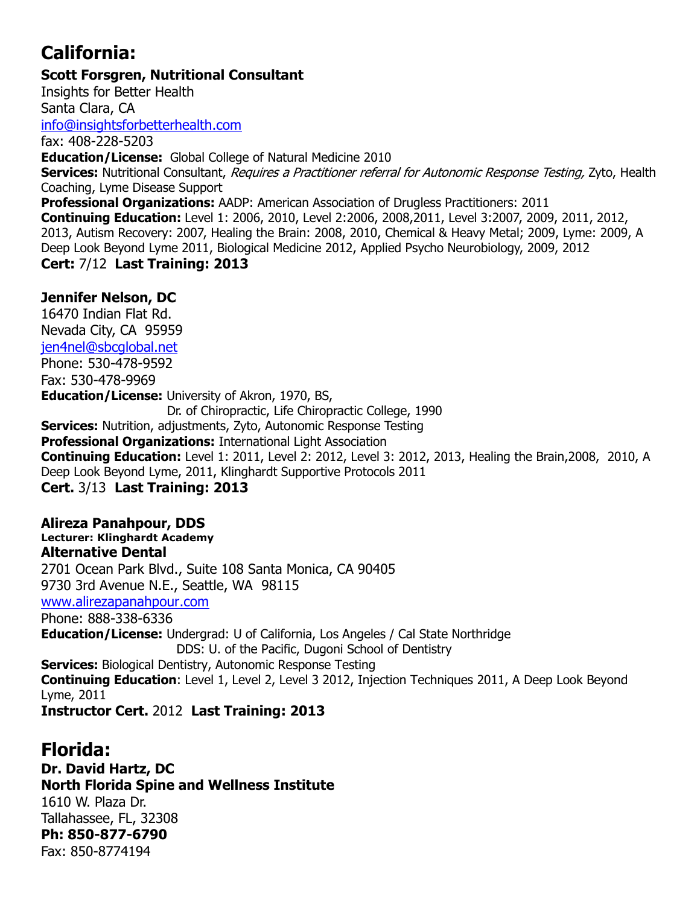# **California:**

**Scott Forsgren, Nutritional Consultant**

Insights for Better Health Santa Clara, CA [info@insightsforbetterhealth.com](mailto:info@insightsforbetterhealth.com) fax: 408-228-5203 **Education/License:** Global College of Natural Medicine 2010 Services: Nutritional Consultant, Requires a Practitioner referral for Autonomic Response Testing. Zyto. Health Coaching, Lyme Disease Support **Professional Organizations:** AADP: American Association of Drugless Practitioners: 2011 **Continuing Education:** Level 1: 2006, 2010, Level 2:2006, 2008,2011, Level 3:2007, 2009, 2011, 2012, 2013, Autism Recovery: 2007, Healing the Brain: 2008, 2010, Chemical & Heavy Metal; 2009, Lyme: 2009, A Deep Look Beyond Lyme 2011, Biological Medicine 2012, Applied Psycho Neurobiology, 2009, 2012 **Cert:** 7/12 **Last Training: 2013**

### **Jennifer Nelson, DC**

16470 Indian Flat Rd. Nevada City, CA 95959 [jen4nel@sbcglobal.net](mailto:jen4nel@sbcglobal.net) Phone: 530-478-9592 Fax: 530-478-9969 **Education/License:** University of Akron, 1970, BS, Dr. of Chiropractic, Life Chiropractic College, 1990 **Services:** Nutrition, adjustments, Zyto, Autonomic Response Testing **Professional Organizations:** International Light Association **Continuing Education:** Level 1: 2011, Level 2: 2012, Level 3: 2012, 2013, Healing the Brain,2008, 2010, A Deep Look Beyond Lyme, 2011, Klinghardt Supportive Protocols 2011 **Cert.** 3/13 **Last Training: 2013**

### **Alireza Panahpour, DDS**

**Lecturer: Klinghardt Academy Alternative Dental**

2701 Ocean Park Blvd., Suite 108 Santa Monica, CA 90405

9730 3rd Avenue N.E., Seattle, WA 98115

[www.alirezapanahpour.com](http://www.alirezapanahpour.com/)

Phone: 888-338-6336

**Education/License:** Undergrad: U of California, Los Angeles / Cal State Northridge DDS: U. of the Pacific, Dugoni School of Dentistry

**Services:** Biological Dentistry, Autonomic Response Testing

**Continuing Education**: Level 1, Level 2, Level 3 2012, Injection Techniques 2011, A Deep Look Beyond Lyme, 2011 **Instructor Cert.** 2012 **Last Training: 2013**

## **Florida:**

**Dr. David Hartz, DC North Florida Spine and Wellness Institute** 1610 W. Plaza Dr. Tallahassee, FL, 32308 **Ph: 850-877-6790** Fax: 850-8774194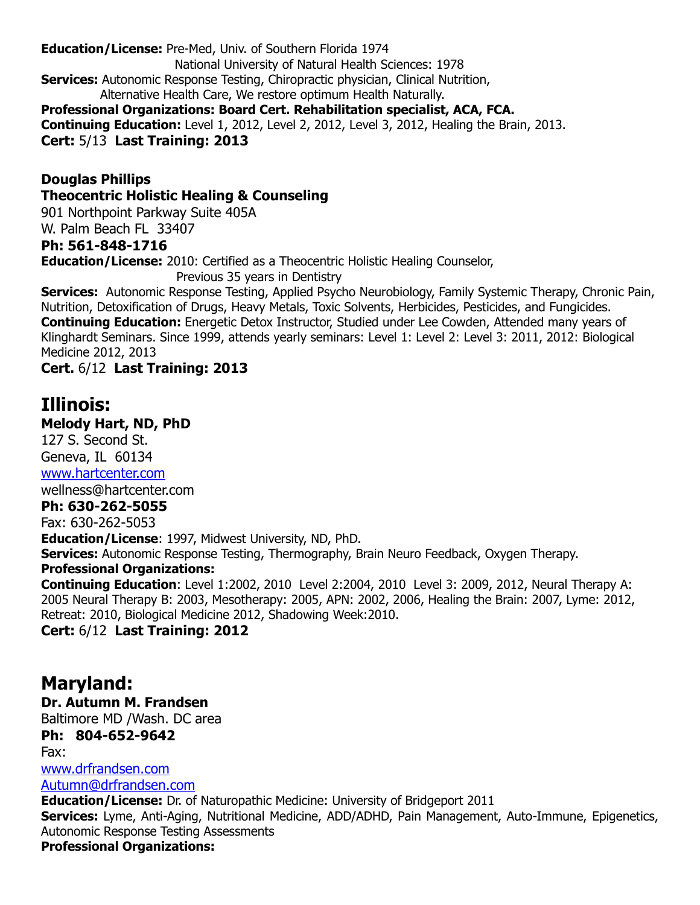**Education/License:** Pre-Med, Univ. of Southern Florida 1974 National University of Natural Health Sciences: 1978 **Services:** Autonomic Response Testing, Chiropractic physician, Clinical Nutrition, Alternative Health Care, We restore optimum Health Naturally. **Professional Organizations: Board Cert. Rehabilitation specialist, ACA, FCA. Continuing Education:** Level 1, 2012, Level 2, 2012, Level 3, 2012, Healing the Brain, 2013. **Cert:** 5/13 **Last Training: 2013**

**Douglas Phillips Theocentric Holistic Healing & Counseling**

901 Northpoint Parkway Suite 405A

W. Palm Beach FL 33407

#### **Ph: 561-848-1716**

**Education/License:** 2010: Certified as a Theocentric Holistic Healing Counselor,

Previous 35 years in Dentistry

**Services:** Autonomic Response Testing, Applied Psycho Neurobiology, Family Systemic Therapy, Chronic Pain, Nutrition, Detoxification of Drugs, Heavy Metals, Toxic Solvents, Herbicides, Pesticides, and Fungicides. **Continuing Education:** Energetic Detox Instructor, Studied under Lee Cowden, Attended many years of Klinghardt Seminars. Since 1999, attends yearly seminars: Level 1: Level 2: Level 3: 2011, 2012: Biological Medicine 2012, 2013

**Cert.** 6/12 **Last Training: 2013**

## **Illinois:**

**Melody Hart, ND, PhD**

127 S. Second St. Geneva, IL 60134 [www.hartcenter.com](http://www.hartcenter.com/)

wellness@hartcenter.com

#### **Ph: 630-262-5055**

Fax: 630-262-5053

**Education/License**: 1997, Midwest University, ND, PhD.

**Services:** Autonomic Response Testing, Thermography, Brain Neuro Feedback, Oxygen Therapy.

#### **Professional Organizations:**

**Continuing Education**: Level 1:2002, 2010 Level 2:2004, 2010 Level 3: 2009, 2012, Neural Therapy A: 2005 Neural Therapy B: 2003, Mesotherapy: 2005, APN: 2002, 2006, Healing the Brain: 2007, Lyme: 2012, Retreat: 2010, Biological Medicine 2012, Shadowing Week:2010.

**Cert:** 6/12 **Last Training: 2012**

## **Maryland:**

**Dr. Autumn M. Frandsen**

Baltimore MD /Wash. DC area

**Ph: 804-652-9642** Fax:

[www.drfrandsen.com](http://www.drfrandsen.com/)

[Autumn@drfrandsen.com](mailto:Autumn@drfrandsen.com)

**Education/License:** Dr. of Naturopathic Medicine: University of Bridgeport 2011

**Services:** Lyme, Anti-Aging, Nutritional Medicine, ADD/ADHD, Pain Management, Auto-Immune, Epigenetics, Autonomic Response Testing Assessments

#### **Professional Organizations:**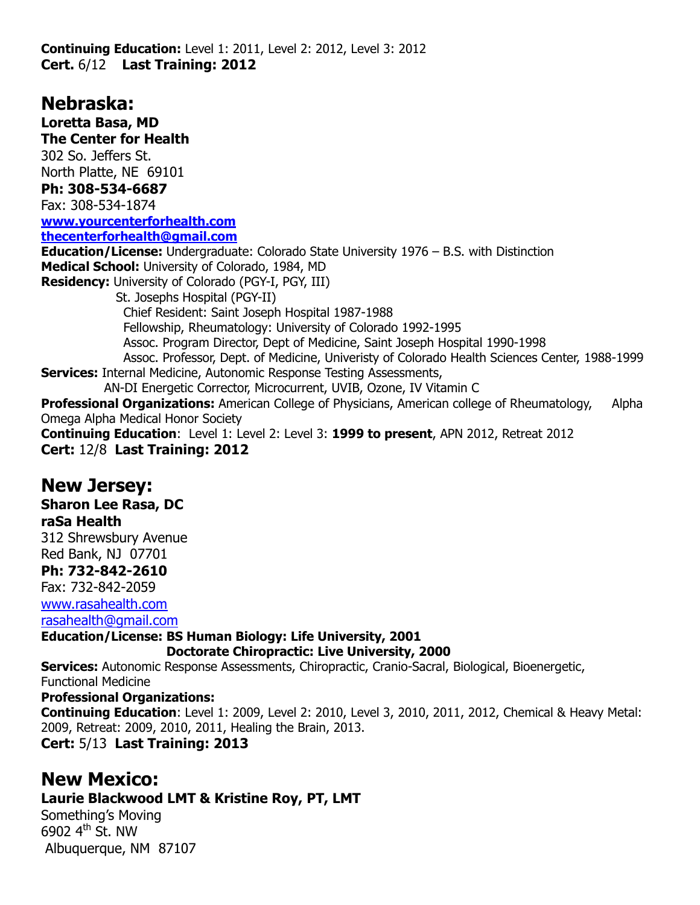**Continuing Education:** Level 1: 2011, Level 2: 2012, Level 3: 2012 **Cert.** 6/12 **Last Training: 2012**

## **Nebraska:**

**Loretta Basa, MD The Center for Health** 302 So. Jeffers St. North Platte, NE 69101 **Ph: 308-534-6687** Fax: 308-534-1874 **[www.yourcenterforhealth.com](http://www.yourcenterforhealth.com/) [thecenterforhealth@gmail.com](mailto:thecenterforhealth@gmail.com) Education/License:** Undergraduate: Colorado State University 1976 – B.S. with Distinction **Medical School:** University of Colorado, 1984, MD **Residency:** University of Colorado (PGY-I, PGY, III) St. Josephs Hospital (PGY-II) Chief Resident: Saint Joseph Hospital 1987-1988 Fellowship, Rheumatology: University of Colorado 1992-1995 Assoc. Program Director, Dept of Medicine, Saint Joseph Hospital 1990-1998 Assoc. Professor, Dept. of Medicine, Univeristy of Colorado Health Sciences Center, 1988-1999 **Services: Internal Medicine, Autonomic Response Testing Assessments,**  AN-DI Energetic Corrector, Microcurrent, UVIB, Ozone, IV Vitamin C **Professional Organizations:** American College of Physicians, American college of Rheumatology, Alpha Omega Alpha Medical Honor Society **Continuing Education**: Level 1: Level 2: Level 3: **1999 to present**, APN 2012, Retreat 2012

**Cert:** 12/8 **Last Training: 2012**

## **New Jersey:**

**Sharon Lee Rasa, DC**

#### **raSa Health**

312 Shrewsbury Avenue Red Bank, NJ 07701 **Ph: 732-842-2610** Fax: 732-842-2059 [www.rasahealth.com](http://www.rasahealth.com/)

[rasahealth@gmail.com](mailto:rasahealth@gmail.com)

**Education/License: BS Human Biology: Life University, 2001**

 **Doctorate Chiropractic: Live University, 2000**

**Services:** Autonomic Response Assessments, Chiropractic, Cranio-Sacral, Biological, Bioenergetic, Functional Medicine **Professional Organizations:**

**Continuing Education**: Level 1: 2009, Level 2: 2010, Level 3, 2010, 2011, 2012, Chemical & Heavy Metal: 2009, Retreat: 2009, 2010, 2011, Healing the Brain, 2013.

**Cert:** 5/13 **Last Training: 2013**

## **New Mexico:**

**Laurie Blackwood LMT & Kristine Roy, PT, LMT**

Something's Moving 6902  $4<sup>th</sup>$  St. NW Albuquerque, NM 87107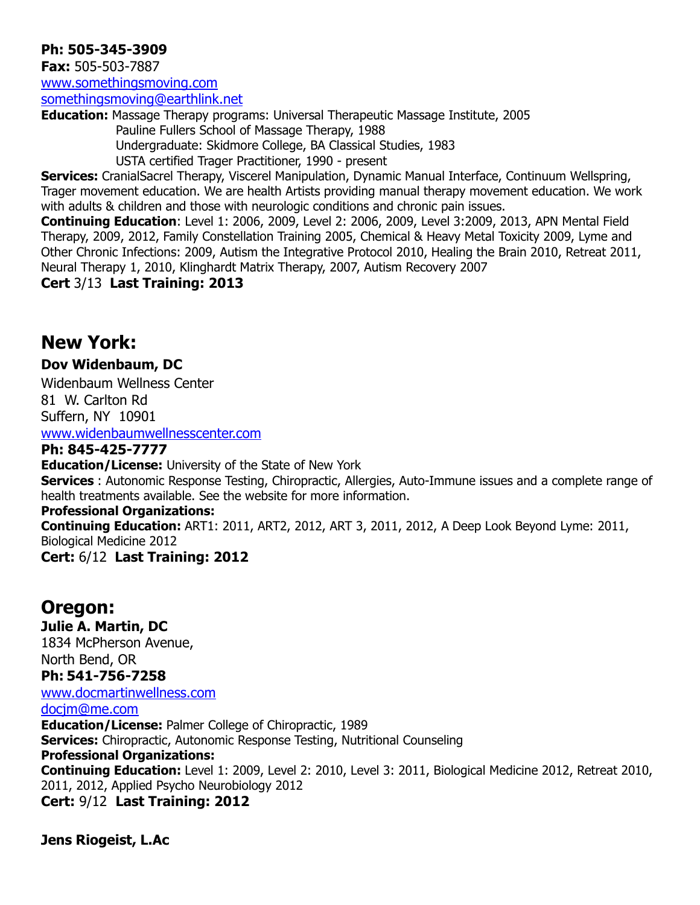#### **Ph: 505-345-3909**

**Fax:** 505-503-7887 [www.somethingsmoving.com](http://www.somethingsmoving.com/)

[somethingsmoving@earthlink.net](mailto:somethingsmoving@earthlink.net)

**Education:** Massage Therapy programs: Universal Therapeutic Massage Institute, 2005 Pauline Fullers School of Massage Therapy, 1988 Undergraduate: Skidmore College, BA Classical Studies, 1983

USTA certified Trager Practitioner, 1990 - present

**Services:** CranialSacrel Therapy, Viscerel Manipulation, Dynamic Manual Interface, Continuum Wellspring, Trager movement education. We are health Artists providing manual therapy movement education. We work with adults & children and those with neurologic conditions and chronic pain issues.

**Continuing Education**: Level 1: 2006, 2009, Level 2: 2006, 2009, Level 3:2009, 2013, APN Mental Field Therapy, 2009, 2012, Family Constellation Training 2005, Chemical & Heavy Metal Toxicity 2009, Lyme and Other Chronic Infections: 2009, Autism the Integrative Protocol 2010, Healing the Brain 2010, Retreat 2011, Neural Therapy 1, 2010, Klinghardt Matrix Therapy, 2007, Autism Recovery 2007

**Cert** 3/13 **Last Training: 2013**

## **New York:**

#### **Dov Widenbaum, DC**

Widenbaum Wellness Center 81 W. Carlton Rd Suffern, NY 10901 [www.widenbaumwellnesscenter.com](http://www.widenbaumwellnesscenter.com/)

#### **Ph: 845-425-7777**

**Education/License:** University of the State of New York **Services** : Autonomic Response Testing, Chiropractic, Allergies, Auto-Immune issues and a complete range of health treatments available. See the website for more information.

#### **Professional Organizations:**

**Continuing Education:** ART1: 2011, ART2, 2012, ART 3, 2011, 2012, A Deep Look Beyond Lyme: 2011, Biological Medicine 2012

**Cert:** 6/12 **Last Training: 2012**

## **Oregon:**

**Julie A. Martin, DC**  1834 McPherson Avenue, North Bend, OR **Ph: 541-756-7258**

[www.docmartinwellness.com](http://www.docmartinwellness.com/)

[docjm@me.com](mailto:docjm@me.com)

**Education/License:** Palmer College of Chiropractic, 1989 **Services:** Chiropractic, Autonomic Response Testing, Nutritional Counseling **Professional Organizations: Continuing Education:** Level 1: 2009, Level 2: 2010, Level 3: 2011, Biological Medicine 2012, Retreat 2010, 2011, 2012, Applied Psycho Neurobiology 2012 **Cert:** 9/12 **Last Training: 2012**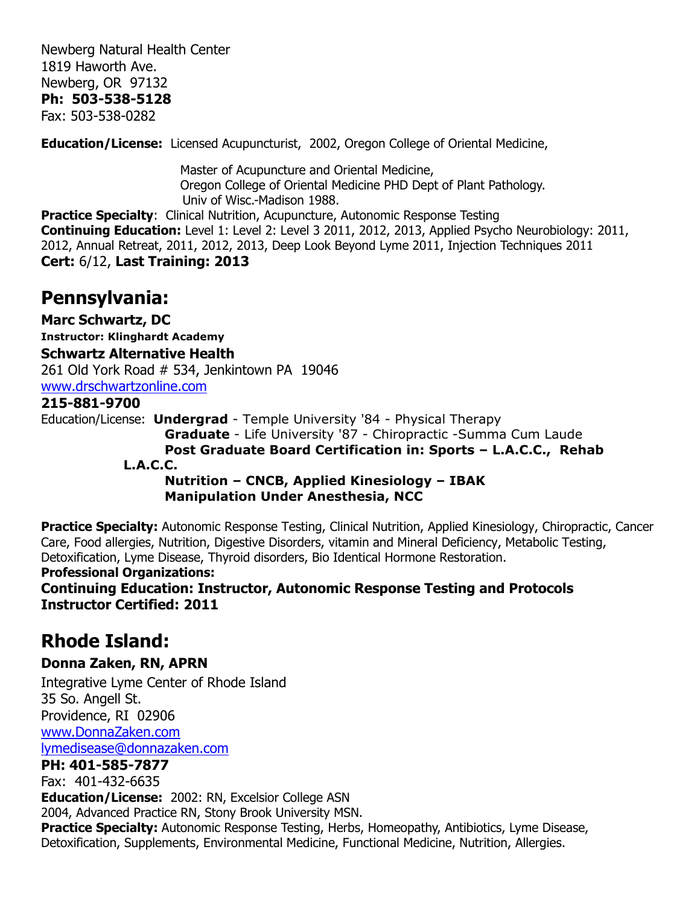Newberg Natural Health Center 1819 Haworth Ave. Newberg, OR 97132 **Ph: 503-538-5128** Fax: 503-538-0282

**Education/License:** Licensed Acupuncturist, 2002, Oregon College of Oriental Medicine,

 Master of Acupuncture and Oriental Medicine, Oregon College of Oriental Medicine PHD Dept of Plant Pathology. Univ of Wisc.-Madison 1988.

**Practice Specialty: Clinical Nutrition, Acupuncture, Autonomic Response Testing Continuing Education:** Level 1: Level 2: Level 3 2011, 2012, 2013, Applied Psycho Neurobiology: 2011, 2012, Annual Retreat, 2011, 2012, 2013, Deep Look Beyond Lyme 2011, Injection Techniques 2011 **Cert:** 6/12, **Last Training: 2013**

## **Pennsylvania:**

**Marc Schwartz, DC Instructor: Klinghardt Academy Schwartz Alternative Health** 261 Old York Road # 534, Jenkintown PA 19046 [www.drschwartzonline.com](http://www.drschwartzonline.com/) **215-881-9700** Education/License: **Undergrad** - Temple University '84 - Physical Therapy **Graduate** - Life University '87 - Chiropractic -Summa Cum Laude **Post Graduate Board Certification in: Sports – L.A.C.C., Rehab L.A.C.C. Nutrition – CNCB, Applied Kinesiology – IBAK Manipulation Under Anesthesia, NCC** 

**Practice Specialty:** Autonomic Response Testing, Clinical Nutrition, Applied Kinesiology, Chiropractic, Cancer Care, Food allergies, Nutrition, Digestive Disorders, vitamin and Mineral Deficiency, Metabolic Testing, Detoxification, Lyme Disease, Thyroid disorders, Bio Identical Hormone Restoration.

#### **Professional Organizations:**

**Continuing Education: Instructor, Autonomic Response Testing and Protocols Instructor Certified: 2011**

## **Rhode Island:**

#### **Donna Zaken, RN, APRN**

Integrative Lyme Center of Rhode Island 35 So. Angell St. Providence, RI 02906 [www.DonnaZaken.com](http://www.donnazaken.com/) [lymedisease@donnazaken.com](mailto:lymedisease@donnazaken.com)

#### **PH: 401-585-7877**

Fax: 401-432-6635 **Education/License:** 2002: RN, Excelsior College ASN 2004, Advanced Practice RN, Stony Brook University MSN. **Practice Specialty:** Autonomic Response Testing, Herbs, Homeopathy, Antibiotics, Lyme Disease, Detoxification, Supplements, Environmental Medicine, Functional Medicine, Nutrition, Allergies.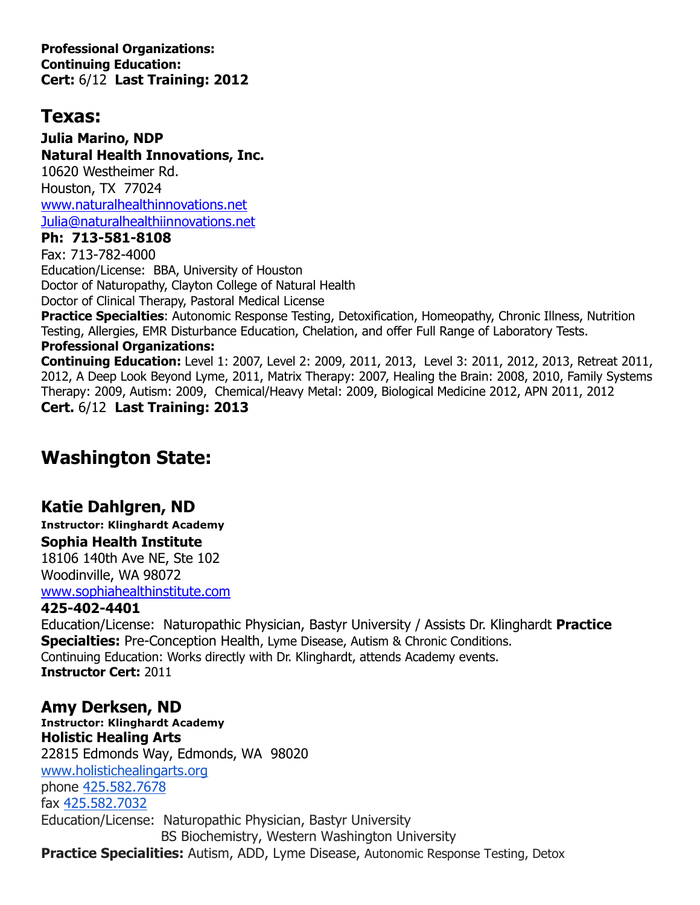**Professional Organizations: Continuing Education: Cert:** 6/12 **Last Training: 2012**

## **Texas:**

**Julia Marino, NDP Natural Health Innovations, Inc.** 10620 Westheimer Rd. Houston, TX 77024 [www.naturalhealthinnovations.net](http://www.naturalhealthinnovations.net/) [Julia@naturalhealthiinnovations.net](mailto:Julia@naturalhealthiinnovations.net)

#### **Ph: 713-581-8108**

Fax: 713-782-4000 Education/License: BBA, University of Houston Doctor of Naturopathy, Clayton College of Natural Health Doctor of Clinical Therapy, Pastoral Medical License

**Practice Specialties:** Autonomic Response Testing, Detoxification, Homeopathy, Chronic Illness, Nutrition Testing, Allergies, EMR Disturbance Education, Chelation, and offer Full Range of Laboratory Tests.

#### **Professional Organizations:**

**Continuing Education:** Level 1: 2007, Level 2: 2009, 2011, 2013, Level 3: 2011, 2012, 2013, Retreat 2011, 2012, A Deep Look Beyond Lyme, 2011, Matrix Therapy: 2007, Healing the Brain: 2008, 2010, Family Systems Therapy: 2009, Autism: 2009, Chemical/Heavy Metal: 2009, Biological Medicine 2012, APN 2011, 2012 **Cert.** 6/12 **Last Training: 2013**

# **Washington State:**

## **Katie Dahlgren, ND**

**Instructor: Klinghardt Academy Sophia Health Institute** 18106 140th Ave NE, Ste 102 Woodinville, WA 98072 [www.sophiahealthinstitute.com](http://www.sophiahealthinstitute.com/) **425-402-4401**

Education/License: Naturopathic Physician, Bastyr University / Assists Dr. Klinghardt **Practice Specialties:** Pre-Conception Health, Lyme Disease, Autism & Chronic Conditions. Continuing Education: Works directly with Dr. Klinghardt, attends Academy events. **Instructor Cert:** 2011

### **Amy Derksen, ND**

**Instructor: Klinghardt Academy Holistic Healing Arts** 22815 Edmonds Way, Edmonds, WA 98020 [www.holistichealingarts.org](http://www.holistichealingarts.org/) phone [425.582.7678](tel:425.582.7678) fax [425.582.7032](tel:425.582.7032) Education/License: Naturopathic Physician, Bastyr University BS Biochemistry, Western Washington University **Practice Specialities:** Autism, ADD, Lyme Disease, Autonomic Response Testing, Detox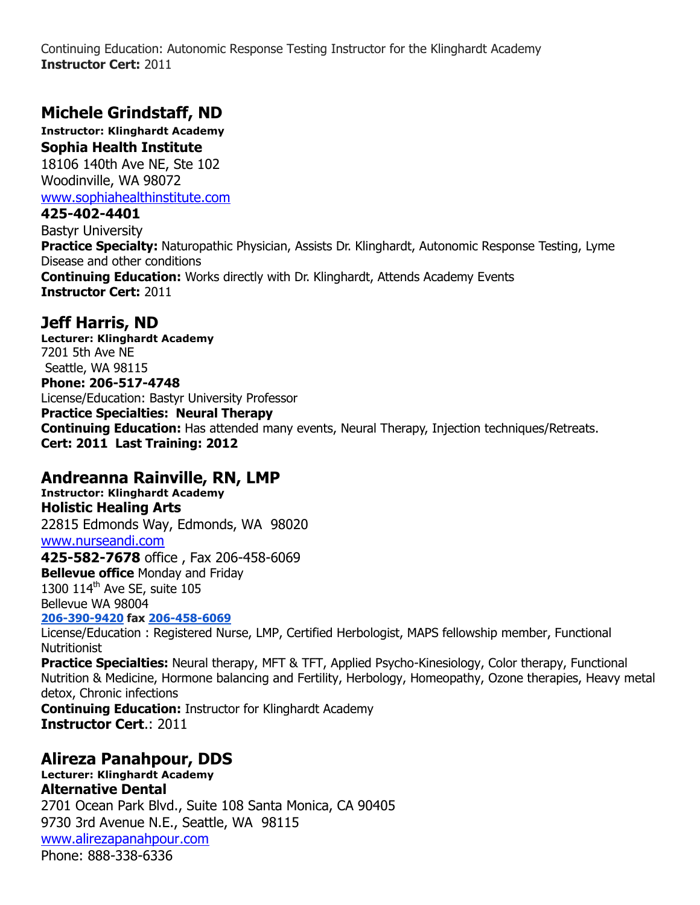Continuing Education: Autonomic Response Testing Instructor for the Klinghardt Academy **Instructor Cert:** 2011

### **Michele Grindstaff, ND**

**Instructor: Klinghardt Academy Sophia Health Institute** 18106 140th Ave NE, Ste 102 Woodinville, WA 98072 [www.sophiahealthinstitute.com](http://www.sophiahealthinstitute.com/)

**425-402-4401**

Bastyr University **Practice Specialty:** Naturopathic Physician, Assists Dr. Klinghardt, Autonomic Response Testing, Lyme Disease and other conditions **Continuing Education:** Works directly with Dr. Klinghardt, Attends Academy Events **Instructor Cert:** 2011

### **Jeff Harris, ND**

**Lecturer: Klinghardt Academy** 7201 5th Ave NE Seattle, WA 98115 **Phone: 206-517-4748** License/Education: Bastyr University Professor **Practice Specialties: Neural Therapy Continuing Education:** Has attended many events, Neural Therapy, Injection techniques/Retreats. **Cert: 2011 Last Training: 2012**

#### **Andreanna Rainville, RN, LMP**

**Instructor: Klinghardt Academy Holistic Healing Arts** 22815 Edmonds Way, Edmonds, WA 98020 [www.nurseandi.com](http://www.nurseandi.com/) **425-582-7678** office , Fax 206-458-6069 **Bellevue office** Monday and Friday 1300 114<sup>th</sup> Ave SE, suite 105 Bellevue WA 98004 **[206-390-9420](tel:206-390-9420) fax [206-458-6069](tel:206-458-6069)** License/Education : Registered Nurse, LMP, Certified Herbologist, MAPS fellowship member, Functional **Nutritionist Practice Specialties:** Neural therapy, MFT & TFT, Applied Psycho-Kinesiology, Color therapy, Functional Nutrition & Medicine, Hormone balancing and Fertility, Herbology, Homeopathy, Ozone therapies, Heavy metal detox, Chronic infections **Continuing Education:** Instructor for Klinghardt Academy **Instructor Cert**.: 2011

### **Alireza Panahpour, DDS**

**Lecturer: Klinghardt Academy Alternative Dental** 2701 Ocean Park Blvd., Suite 108 Santa Monica, CA 90405 9730 3rd Avenue N.E., Seattle, WA 98115 [www.alirezapanahpour.com](http://www.alirezapanahpour.com/) Phone: 888-338-6336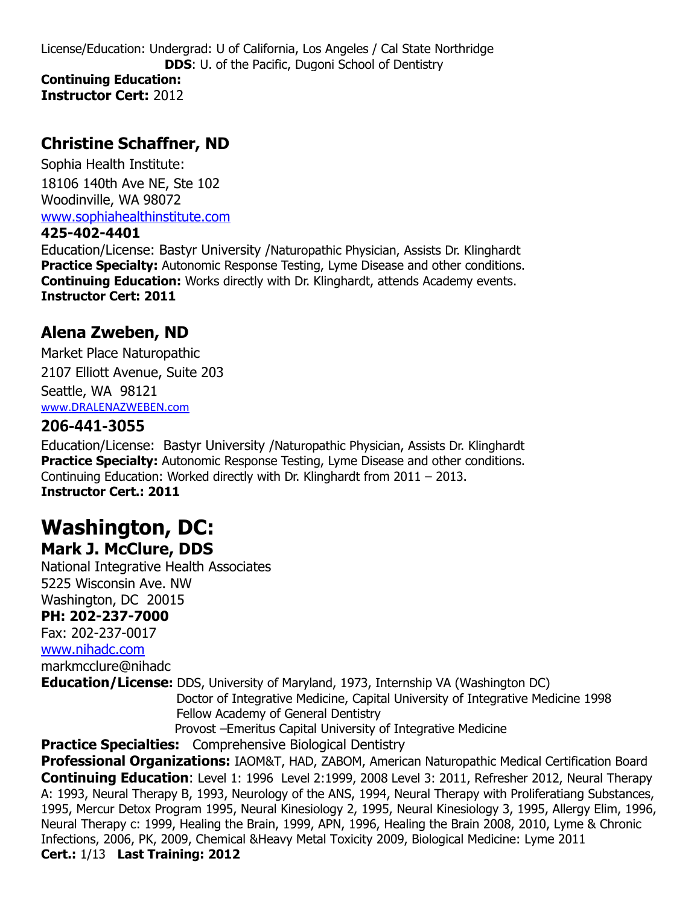### **Christine Schaffner, ND**

Sophia Health Institute: 18106 140th Ave NE, Ste 102 Woodinville, WA 98072 [www.sophiahealthinstitute.com](http://www.sophiahealthinstitute.com/)

#### **425-402-4401**

Education/License: Bastyr University /Naturopathic Physician, Assists Dr. Klinghardt **Practice Specialty:** Autonomic Response Testing, Lyme Disease and other conditions. **Continuing Education:** Works directly with Dr. Klinghardt, attends Academy events. **Instructor Cert: 2011**

### **Alena Zweben, ND**

Market Place Naturopathic 2107 Elliott Avenue, Suite 203 Seattle, WA 98121 [www.DRALENAZWEBEN.com](http://www.dralenazweben.com/)

### **206-441-3055**

Education/License: Bastyr University /Naturopathic Physician, Assists Dr. Klinghardt **Practice Specialty:** Autonomic Response Testing, Lyme Disease and other conditions. Continuing Education: Worked directly with Dr. Klinghardt from 2011 – 2013. **Instructor Cert.: 2011**

### **Washington, DC: Mark J. McClure, DDS**

National Integrative Health Associates 5225 Wisconsin Ave. NW Washington, DC 20015 **PH: 202-237-7000** Fax: 202-237-0017 [www.nihadc.com](http://www.nihadc.com/)

markmcclure@nihadc

**Education/License:** DDS, University of Maryland, 1973, Internship VA (Washington DC)

 Doctor of Integrative Medicine, Capital University of Integrative Medicine 1998 Fellow Academy of General Dentistry

Provost –Emeritus Capital University of Integrative Medicine

**Practice Specialties:** Comprehensive Biological Dentistry

**Professional Organizations:** IAOM&T, HAD, ZABOM, American Naturopathic Medical Certification Board **Continuing Education**: Level 1: 1996 Level 2:1999, 2008 Level 3: 2011, Refresher 2012, Neural Therapy A: 1993, Neural Therapy B, 1993, Neurology of the ANS, 1994, Neural Therapy with Proliferatiang Substances, 1995, Mercur Detox Program 1995, Neural Kinesiology 2, 1995, Neural Kinesiology 3, 1995, Allergy Elim, 1996, Neural Therapy c: 1999, Healing the Brain, 1999, APN, 1996, Healing the Brain 2008, 2010, Lyme & Chronic Infections, 2006, PK, 2009, Chemical &Heavy Metal Toxicity 2009, Biological Medicine: Lyme 2011 **Cert.:** 1/13 **Last Training: 2012**